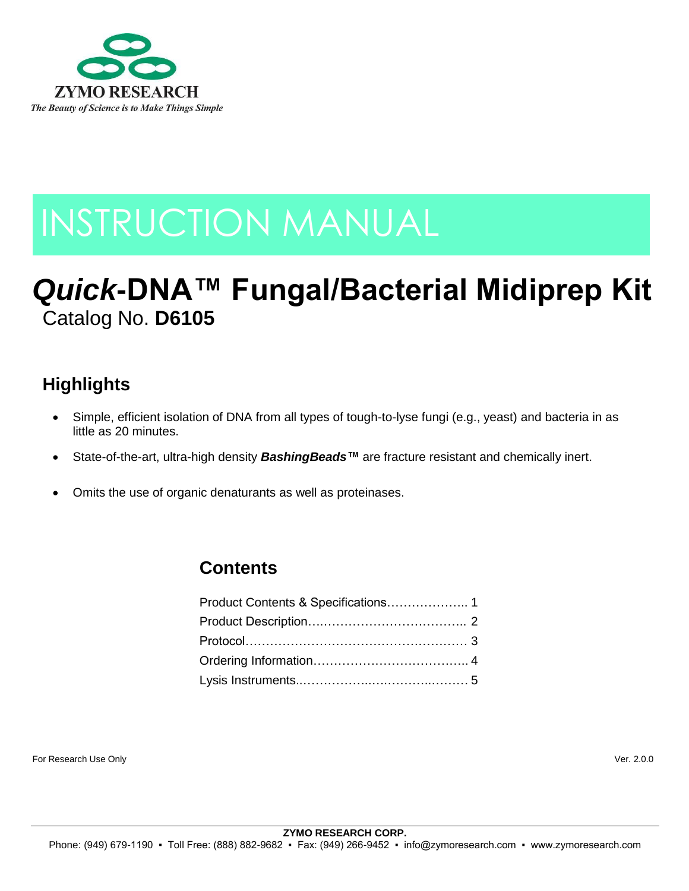

# INSTRUCTION MANUAL

# *Quick***-DNA™ Fungal/Bacterial Midiprep Kit** Catalog No. **D6105**

# **Highlights**

- Simple, efficient isolation of DNA from all types of tough-to-lyse fungi (e.g., yeast) and bacteria in as little as 20 minutes.
- State-of-the-art, ultra-high density *BashingBeads™* are fracture resistant and chemically inert.
- Omits the use of organic denaturants as well as proteinases.

# **Contents**

For Research Use Only Ver. 2.0.0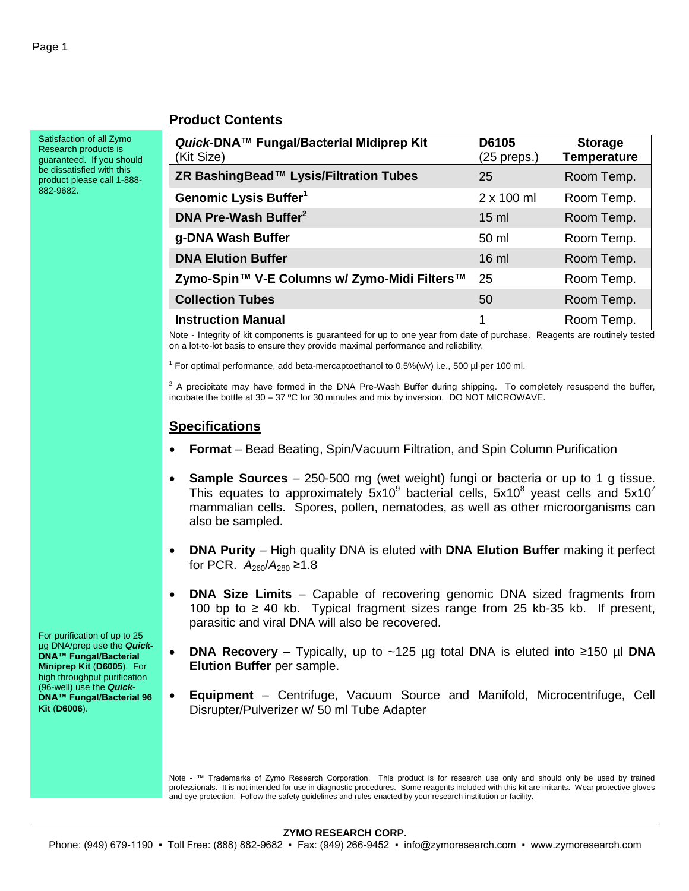#### **Product Contents**

Satisfaction of all Zymo Research products is guaranteed. If you should be dissatisfied with this product please call 1-888- 882-9682.

| Quick-DNA™ Fungal/Bacterial Midiprep Kit<br>(Kit Size) | D6105<br>$(25$ preps.) | <b>Storage</b><br><b>Temperature</b> |
|--------------------------------------------------------|------------------------|--------------------------------------|
| ZR BashingBead™ Lysis/Filtration Tubes                 | 25                     | Room Temp.                           |
| Genomic Lysis Buffer <sup>1</sup>                      | $2 \times 100$ ml      | Room Temp.                           |
| DNA Pre-Wash Buffer <sup>2</sup>                       | $15 \text{ ml}$        | Room Temp.                           |
| g-DNA Wash Buffer                                      | 50 ml                  | Room Temp.                           |
| <b>DNA Elution Buffer</b>                              | $16$ ml                | Room Temp.                           |
| Zymo-Spin™ V-E Columns w/ Zymo-Midi Filters™           | 25                     | Room Temp.                           |
| <b>Collection Tubes</b>                                | 50                     | Room Temp.                           |
| <b>Instruction Manual</b>                              | 1                      | Room Temp.                           |

Note **-** Integrity of kit components is guaranteed for up to one year from date of purchase. Reagents are routinely tested on a lot-to-lot basis to ensure they provide maximal performance and reliability.

<sup>1</sup> For optimal performance, add beta-mercaptoethanol to 0.5%(v/v) i.e., 500 µl per 100 ml.

 $2$  A precipitate may have formed in the DNA Pre-Wash Buffer during shipping. To completely resuspend the buffer, incubate the bottle at 30 – 37 ºC for 30 minutes and mix by inversion. DO NOT MICROWAVE.

#### **Specifications**

- **Format** Bead Beating, Spin/Vacuum Filtration, and Spin Column Purification
- **Sample Sources** 250-500 mg (wet weight) fungi or bacteria or up to 1 g tissue. This equates to approximately  $5x10^9$  bacterial cells,  $5x10^8$  yeast cells and  $5x10^7$ mammalian cells. Spores, pollen, nematodes, as well as other microorganisms can also be sampled.
- **DNA Purity** High quality DNA is eluted with **DNA Elution Buffer** making it perfect for PCR.  $A_{260}/A_{280} \ge 1.8$
- **DNA Size Limits** Capable of recovering genomic DNA sized fragments from 100 bp to ≥ 40 kb. Typical fragment sizes range from 25 kb-35 kb. If present, parasitic and viral DNA will also be recovered.
- **DNA Recovery** Typically, up to ~125 µg total DNA is eluted into ≥150 µl **DNA Elution Buffer** per sample.
- **Equipment** Centrifuge, Vacuum Source and Manifold, Microcentrifuge, Cell Disrupter/Pulverizer w/ 50 ml Tube Adapter

Note - ™ Trademarks of Zymo Research Corporation. This product is for research use only and should only be used by trained professionals. It is not intended for use in diagnostic procedures. Some reagents included with this kit are irritants. Wear protective gloves and eye protection. Follow the safety guidelines and rules enacted by your research institution or facility.

For purification of up to 25 µg DNA/prep use the *Quick***-DNA™ Fungal/Bacterial Miniprep Kit** (**D6005**). For high throughput purification (96-well) use the *Quick***-DNA™ Fungal/Bacterial 96 Kit** (**D6006**).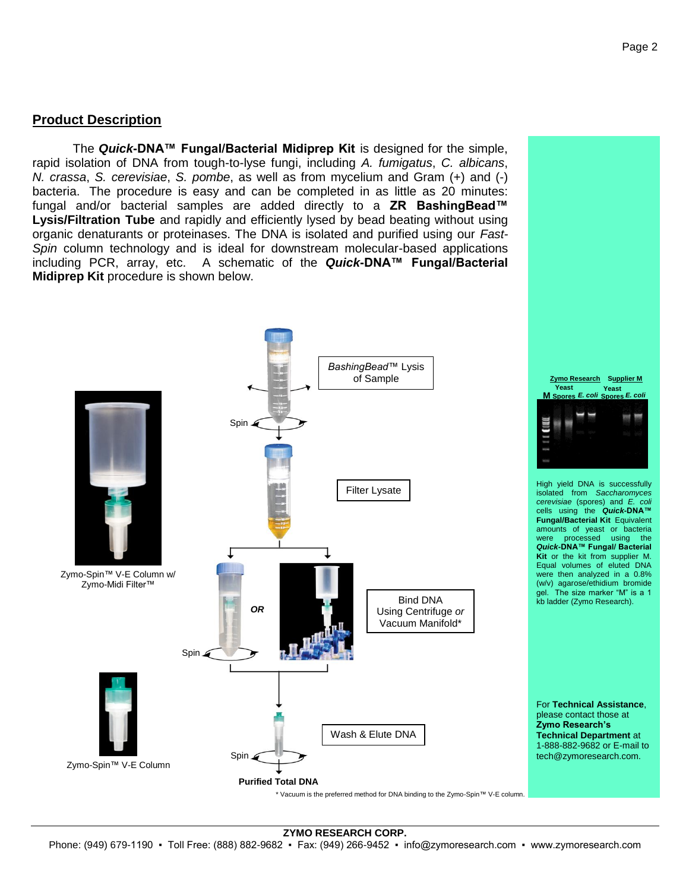#### **Product Description**

The *Quick***-DNA™ Fungal/Bacterial Midiprep Kit** is designed for the simple, rapid isolation of DNA from tough-to-lyse fungi, including *A. fumigatus*, *C. albicans*, *N. crassa*, *S. cerevisiae*, *S. pombe*, as well as from mycelium and Gram (+) and (-) bacteria. The procedure is easy and can be completed in as little as 20 minutes: fungal and/or bacterial samples are added directly to a **ZR BashingBead™ Lysis/Filtration Tube** and rapidly and efficiently lysed by bead beating without using organic denaturants or proteinases. The DNA is isolated and purified using our *Fast-Spin* column technology and is ideal for downstream molecular-based applications including PCR, array, etc. A schematic of the *Quick***-DNA™ Fungal/Bacterial Midiprep Kit** procedure is shown below.

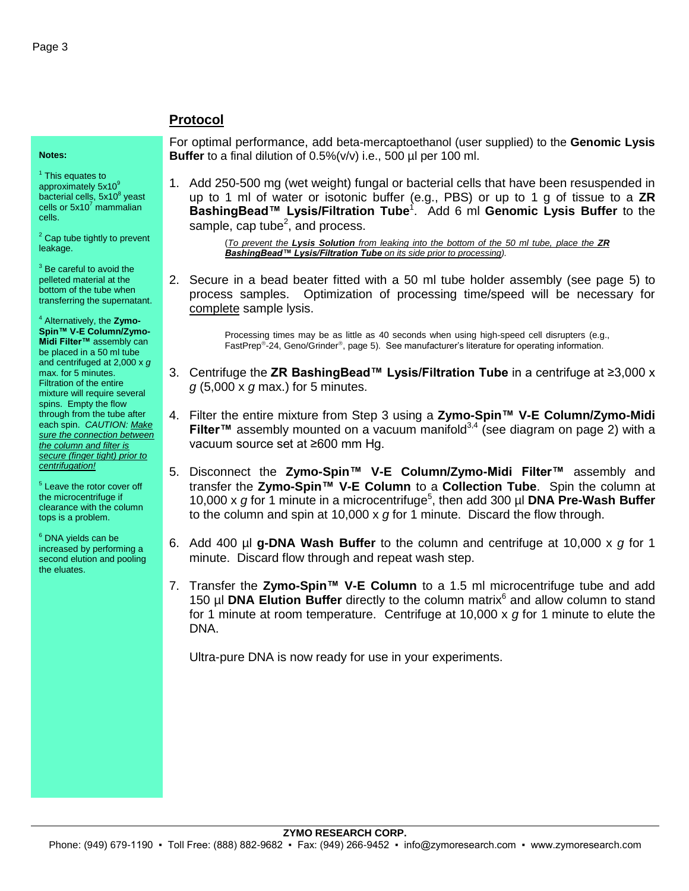**Notes:**

<sup>1</sup> This equates to approximately 5x10<sup>9</sup> bacterial cells, 5x10<sup>8</sup> yeast<br>cells or 5x10<sup>7</sup> mammalian cells.

 $2$  Cap tube tightly to prevent leakage.

 $3$  Be careful to avoid the pelleted material at the bottom of the tube when transferring the supernatant.

<sup>4</sup> Alternatively, the **Zymo-Spin™ V-E Column/Zymo-Midi Filter™** assembly can be placed in a 50 ml tube and centrifuged at 2,000 x *g* max. for 5 minutes. Filtration of the entire mixture will require several spins. Empty the flow through from the tube after each spin. *CAUTION: Make sure the connection between the column and filter is secure (finger tight) prior to centrifugation!*

<sup>5</sup> Leave the rotor cover off the microcentrifuge if clearance with the column tops is a problem.

<sup>6</sup> DNA yields can be increased by performing a second elution and pooling the eluates.

## **Protocol**

For optimal performance, add beta-mercaptoethanol (user supplied) to the **Genomic Lysis Buffer** to a final dilution of 0.5%(v/v) i.e., 500 µl per 100 ml.

1. Add 250-500 mg (wet weight) fungal or bacterial cells that have been resuspended in up to 1 ml of water or isotonic buffer (e.g., PBS) or up to 1 g of tissue to a **ZR BashingBead™ Lysis/Filtration Tube**<sup>1</sup> . Add 6 ml **Genomic Lysis Buffer** to the sample, cap tube<sup>2</sup>, and process.

> (*To prevent the Lysis Solution from leaking into the bottom of the 50 ml tube, place the ZR BashingBead™ Lysis/Filtration Tube on its side prior to processing).*

2. Secure in a bead beater fitted with a 50 ml tube holder assembly (see page 5) to process samples. Optimization of processing time/speed will be necessary for complete sample lysis.

> Processing times may be as little as 40 seconds when using high-speed cell disrupters (e.g., FastPrep®-24, Geno/Grinder®, page 5). See manufacturer's literature for operating information.

- 3. Centrifuge the **ZR BashingBead™ Lysis/Filtration Tube** in a centrifuge at ≥3,000 x *g* (5,000 x *g* max.) for 5 minutes.
- 4. Filter the entire mixture from Step 3 using a **Zymo-Spin™ V-E Column/Zymo-Midi Filter™** assembly mounted on a vacuum manifold<sup>3,4</sup> (see diagram on page 2) with a vacuum source set at ≥600 mm Hg.
- 5. Disconnect the **Zymo-Spin™ V-E Column/Zymo-Midi Filter™** assembly and transfer the **Zymo-Spin™ V-E Column** to a **Collection Tube**. Spin the column at 10,000 x g for 1 minute in a microcentrifuge<sup>5</sup>, then add 300 µl **DNA Pre-Wash Buffer** to the column and spin at 10,000 x *g* for 1 minute. Discard the flow through.
- 6. Add 400 µl **g-DNA Wash Buffer** to the column and centrifuge at 10,000 x *g* for 1 minute. Discard flow through and repeat wash step.
- 7. Transfer the **Zymo-Spin™ V-E Column** to a 1.5 ml microcentrifuge tube and add 150 µl **DNA Elution Buffer** directly to the column matrix<sup>6</sup> and allow column to stand for 1 minute at room temperature. Centrifuge at 10,000 x *g* for 1 minute to elute the DNA.

Ultra-pure DNA is now ready for use in your experiments.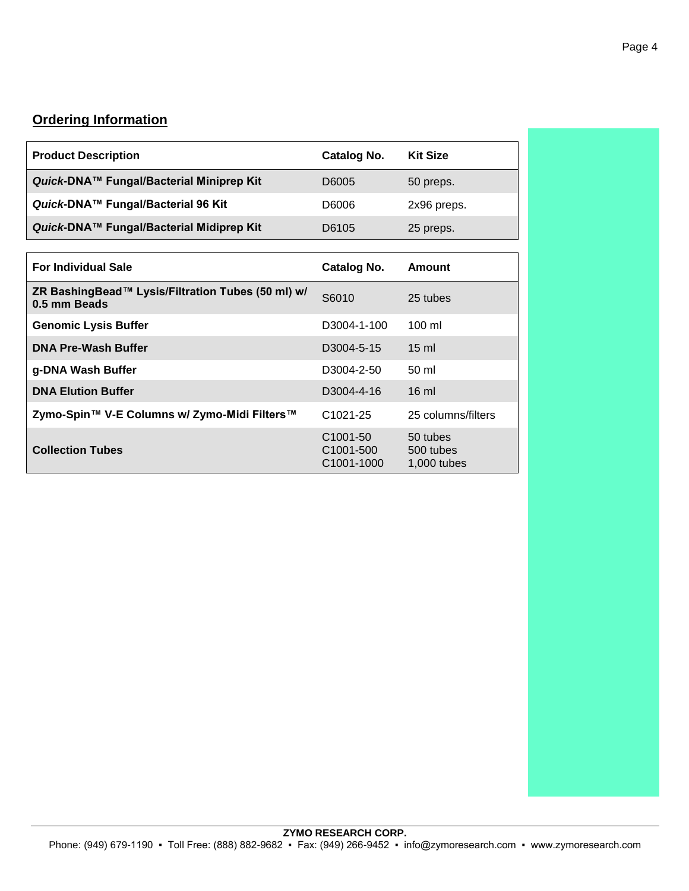# **Ordering Information**

| <b>Product Description</b>                                        | <b>Catalog No.</b>                               | <b>Kit Size</b>                      |
|-------------------------------------------------------------------|--------------------------------------------------|--------------------------------------|
| Quick-DNA™ Fungal/Bacterial Miniprep Kit                          | D6005                                            | 50 preps.                            |
| Quick-DNA™ Fungal/Bacterial 96 Kit                                | D6006                                            | 2x96 preps.                          |
| Quick-DNA™ Fungal/Bacterial Midiprep Kit                          | D6105                                            | 25 preps.                            |
|                                                                   |                                                  |                                      |
| <b>For Individual Sale</b>                                        | Catalog No.                                      | Amount                               |
| ZR BashingBead™ Lysis/Filtration Tubes (50 ml) w/<br>0.5 mm Beads | S6010                                            | 25 tubes                             |
| <b>Genomic Lysis Buffer</b>                                       | D3004-1-100                                      | $100 \mathrm{ml}$                    |
| <b>DNA Pre-Wash Buffer</b>                                        | D3004-5-15                                       | $15 \text{ ml}$                      |
| g-DNA Wash Buffer                                                 | D3004-2-50                                       | $50 \mathrm{ml}$                     |
| <b>DNA Elution Buffer</b>                                         | D3004-4-16                                       | $16 \text{ ml}$                      |
| Zymo-Spin™ V-E Columns w/ Zymo-Midi Filters™                      | $C1021 - 25$                                     | 25 columns/filters                   |
| <b>Collection Tubes</b>                                           | C <sub>1001</sub> -50<br>C1001-500<br>C1001-1000 | 50 tubes<br>500 tubes<br>1,000 tubes |